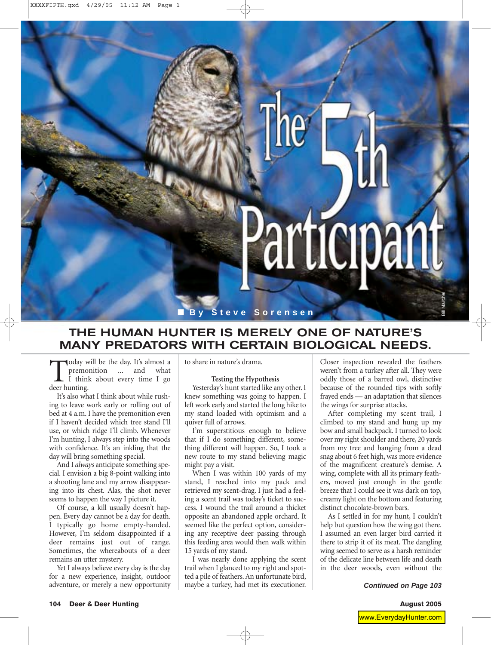

## **THE HUMAN HUNTER IS MERELY ONE OF NATURE'S MANY PREDATORS WITH CERTAIN BIOLOGICAL NEEDS.**

Today will be the day. It's almost a premonition ... and what I think about every time I go deer hunting.

It's also what I think about while rushing to leave work early or rolling out of bed at 4 a.m. I have the premonition even if I haven't decided which tree stand I'll use, or which ridge I'll climb. Whenever I'm hunting, I always step into the woods with confidence. It's an inkling that the day will bring something special.

And I *always* anticipate something special. I envision a big 8-point walking into a shooting lane and my arrow disappearing into its chest. Alas, the shot never seems to happen the way I picture it.

Of course, a kill usually doesn't happen. Every day cannot be a day for death. I typically go home empty-handed. However, I'm seldom disappointed if a deer remains just out of range. Sometimes, the whereabouts of a deer remains an utter mystery.

Yet I always believe every day is the day for a new experience, insight, outdoor adventure, or merely a new opportunity to share in nature's drama.

## **Testing the Hypothesis**

Yesterday's hunt started like any other. I knew something was going to happen. I left work early and started the long hike to my stand loaded with optimism and a quiver full of arrows.

I'm superstitious enough to believe that if I do something different, something different will happen. So, I took a new route to my stand believing magic might pay a visit.

When I was within 100 yards of my stand, I reached into my pack and retrieved my scent-drag. I just had a feeling a scent trail was today's ticket to success. I wound the trail around a thicket opposite an abandoned apple orchard. It seemed like the perfect option, considering any receptive deer passing through this feeding area would then walk within 15 yards of my stand.

I was nearly done applying the scent trail when I glanced to my right and spotted a pile of feathers. An unfortunate bird, maybe a turkey, had met its executioner. Closer inspection revealed the feathers weren't from a turkey after all. They were oddly those of a barred owl, distinctive because of the rounded tips with softly frayed ends — an adaptation that silences the wings for surprise attacks.

After completing my scent trail, I climbed to my stand and hung up my bow and small backpack. I turned to look over my right shoulder and there, 20 yards from my tree and hanging from a dead snag about 6 feet high, was more evidence of the magnificent creature's demise. A wing, complete with all its primary feathers, moved just enough in the gentle breeze that I could see it was dark on top, creamy light on the bottom and featuring distinct chocolate-brown bars.

As I settled in for my hunt, I couldn't help but question how the wing got there. I assumed an even larger bird carried it there to strip it of its meat. The dangling wing seemed to serve as a harsh reminder of the delicate line between life and death in the deer woods, even without the

*Continued on Page 103*